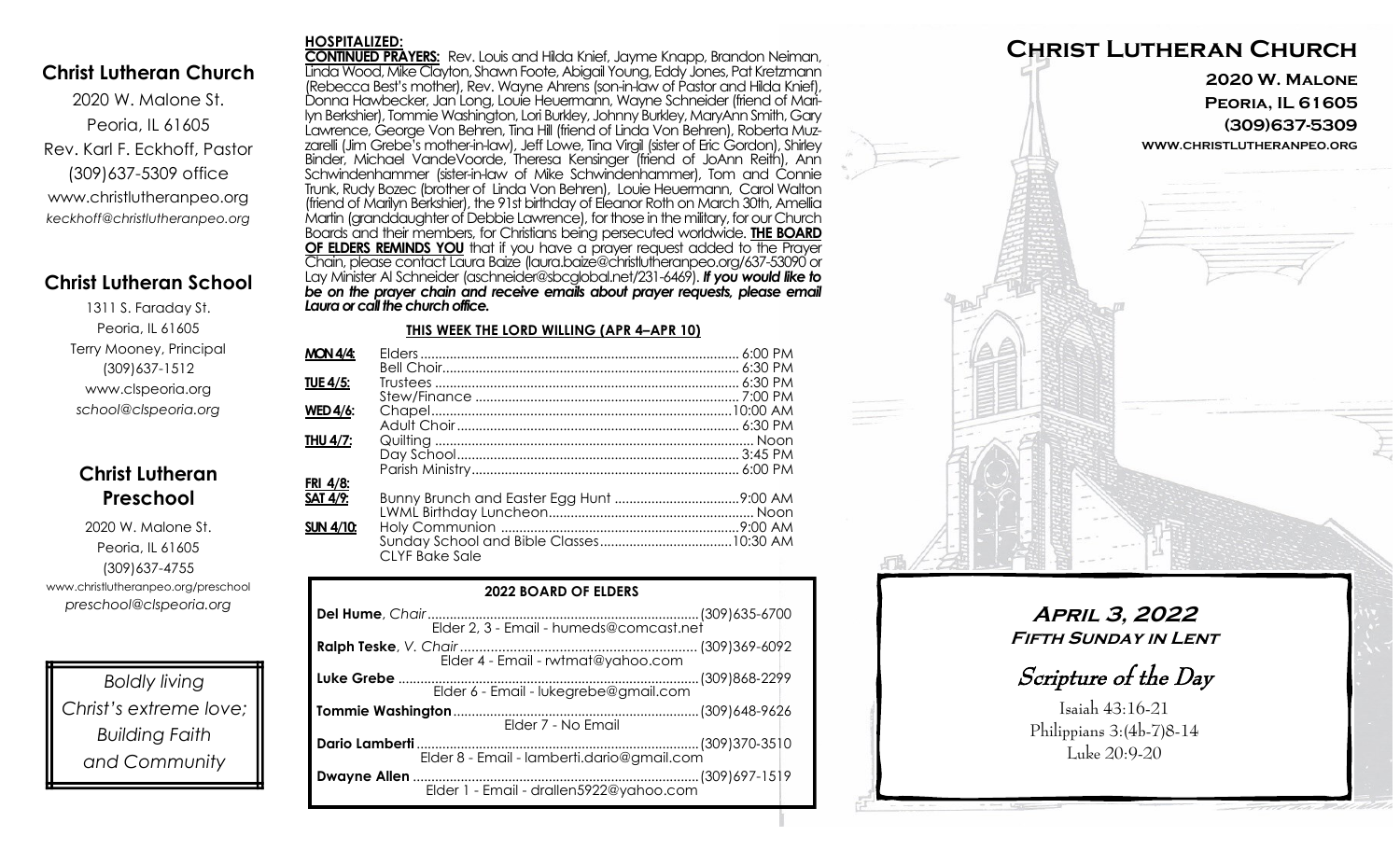## **Christ Lutheran Church**

**HOSPITALIZED:**

2020 W. Malone St. Peoria, IL 61605 Rev. Karl F. Eckhoff, Pastor (309)637-5309 office www.christlutheranpeo.org *keckhoff@christlutheranpeo.org*

## **Christ Lutheran School**

1311 S. Faraday St. Peoria, IL 61605 Terry Mooney, Principal (309)637-1512 www.clspeoria.org *school@clspeoria.org*

## **Christ Lutheran Preschool**

2020 W. Malone St. Peoria, IL 61605 (309)637-4755 www.christlutheranpeo.org/preschool *preschool@clspeoria.org*

*Boldly living Christ's extreme love; Building Faith and Community*

**CONTINUED PRAYERS:** Rev. Louis and Hilda Knief, Jayme Knapp, Brandon Neiman, Linda Wood, Mike Clayton, Shawn Foote, Abigail Young, Eddy Jones, Pat Kretzmann (Rebecca Best's mother), Rev. Wayne Ahrens (son-in-law of Pastor and Hilda Knief), Donna Hawbecker, Jan Long, Louie Heuermann, Wayne Schneider (friend of Marilyn Berkshier), Tommie Washington, Lori Burkley, Johnny Burkley, MaryAnn Smith, Gary Lawrence, George Von Behren, Tina Hill (friend of Linda Von Behren), Roberta Muzzarelli (Jim Grebe's mother-in-law), Jeff Lowe, Tina Virgil (sister of Eric Gordon), Shirley Binder, Michael VandeVoorde, Theresa Kensinger (friend of JoAnn Reith), Ann Schwindenhammer (sister-in-law of Mike Schwindenhammer), Tom and Connie Trunk, Rudy Bozec (brother of Linda Von Behren), Louie Heuermann, Carol Walton (friend of Marilyn Berkshier), the 91st birthday of Eleanor Roth on March 30th, Amellia Martin (granddaughter of Debbie Lawrence), for those in the military, for our Church Boards and their members, for Christians being persecuted worldwide. **THE BOARD OF ELDERS REMINDS YOU** that if you have a prayer request added to the Prayer Chain, please contact Laura Baize (laura.baize@christlutheranpeo.org/637-53090 or Lay Minister Al Schneider (aschneider@sbcglobal.net/231-6469). *If you would like to*  be on the prayer chain and receive emails about prayer requests, please email *Laura or call the church office.*

#### **THIS WEEK THE LORD WILLING (APR 4–APR 10)**

| <b>MON 4/4:</b>  |                |  |
|------------------|----------------|--|
|                  |                |  |
| <b>TUE 4/5:</b>  |                |  |
|                  |                |  |
| <b>WED 4/6:</b>  |                |  |
|                  |                |  |
| THU 4/7:         |                |  |
|                  |                |  |
|                  |                |  |
| FRI 4/8:         |                |  |
| <b>SAT 4/9:</b>  |                |  |
|                  |                |  |
| <b>SUN 4/10:</b> |                |  |
|                  | CIYE Bake Sale |  |
|                  |                |  |

| <b>2022 BOARD OF ELDERS</b>                |  |  |
|--------------------------------------------|--|--|
|                                            |  |  |
|                                            |  |  |
| Elder 6 - Email - lukegrebe@gmail.com      |  |  |
| Elder 7 - No Email                         |  |  |
| Elder 8 - Email - lamberti.dario@gmail.com |  |  |
|                                            |  |  |



**April 3, 2022 Fifth Sunday in Lent**

Scripture of the Day

Isaiah 43:16-21 Philippians 3:(4b-7)8-14 Luke 20:9-20